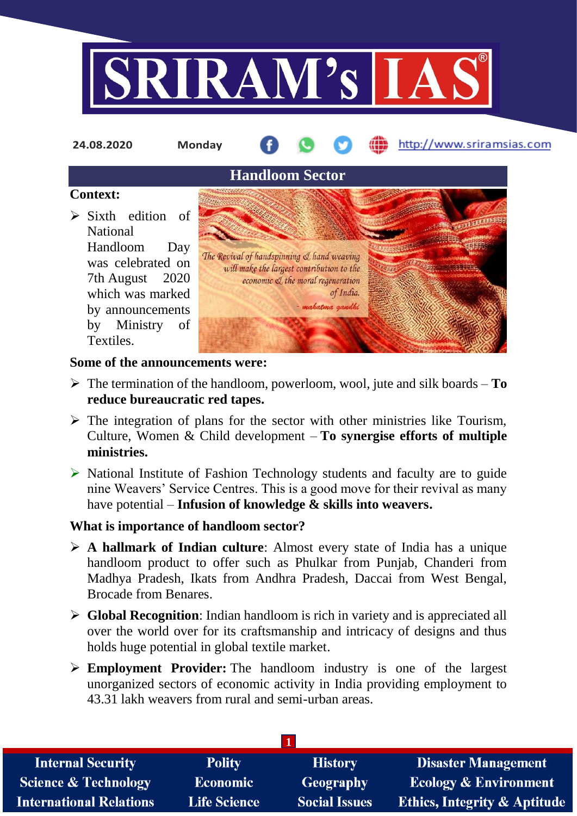

http://www.sriramsias.com **24.08.2020 Monday Handloom Sector Context:**  $\triangleright$  Sixth edition of National Handloom Day The Revival of handspinning & hand weaving was celebrated on will make the largest contribution to the 7th August 2020 economic & the moral regeneration of India. which was marked - mahatma gandhi by announcements by Ministry of Textiles.

#### **Some of the announcements were:**

- $\triangleright$  The termination of the handloom, powerloom, wool, jute and silk boards **To reduce bureaucratic red tapes.**
- $\triangleright$  The integration of plans for the sector with other ministries like Tourism, Culture, Women & Child development – **To synergise efforts of multiple ministries.**
- $\triangleright$  National Institute of Fashion Technology students and faculty are to guide nine Weavers' Service Centres. This is a good move for their revival as many have potential – **Infusion of knowledge & skills into weavers.**

# **What is importance of handloom sector?**

- **A hallmark of Indian culture**: Almost every state of India has a unique handloom product to offer such as Phulkar from Punjab, Chanderi from Madhya Pradesh, Ikats from Andhra Pradesh, Daccai from West Bengal, Brocade from Benares.
- **Global Recognition**: Indian handloom is rich in variety and is appreciated all over the world over for its craftsmanship and intricacy of designs and thus holds huge potential in global textile market.
- **Employment Provider:** The handloom industry is one of the largest unorganized sectors of economic activity in India providing employment to 43.31 lakh weavers from rural and semi-urban areas.

| <b>Internal Security</b>        | <b>Polity</b>       | <b>History</b>       | <b>Disaster Management</b>              |
|---------------------------------|---------------------|----------------------|-----------------------------------------|
| <b>Science &amp; Technology</b> | <b>Economic</b>     | Geography            | Ecology & Environment                   |
| <b>International Relations</b>  | <b>Life Science</b> | <b>Social Issues</b> | <b>Ethics, Integrity &amp; Aptitude</b> |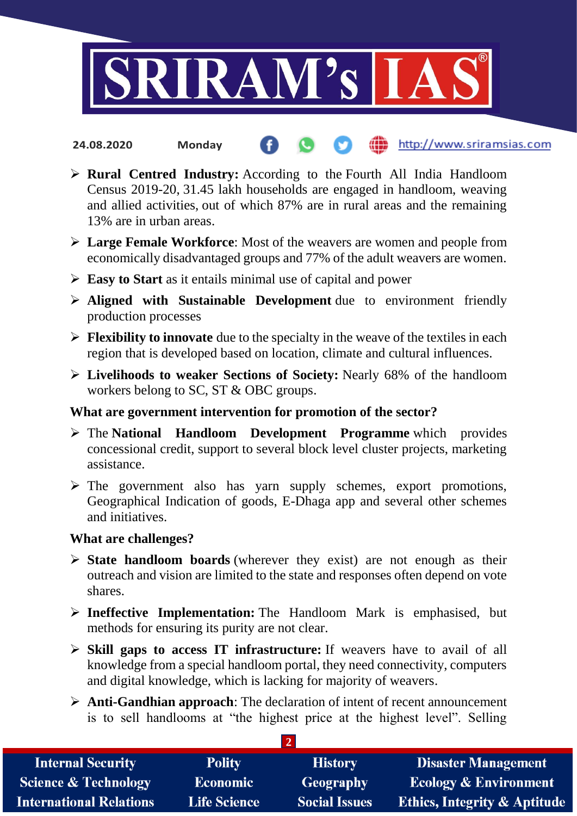

- the http://www.sriramsias.com **24.08.2020 Monday**
- **Rural Centred Industry:** According to the Fourth All India Handloom Census 2019-20, 31.45 lakh households are engaged in handloom, weaving and allied activities, out of which 87% are in rural areas and the remaining 13% are in urban areas.
- **Large Female Workforce**: Most of the weavers are women and people from economically disadvantaged groups and 77% of the adult weavers are women.
- **Easy to Start** as it entails minimal use of capital and power
- **Aligned with Sustainable Development** due to environment friendly production processes
- **Flexibility to innovate** due to the specialty in the weave of the textiles in each region that is developed based on location, climate and cultural influences.
- **Livelihoods to weaker Sections of Society:** Nearly 68% of the handloom workers belong to SC, ST & OBC groups.

# **What are government intervention for promotion of the sector?**

- The **National Handloom Development Programme** which provides concessional credit, support to several block level cluster projects, marketing assistance.
- $\triangleright$  The government also has yarn supply schemes, export promotions, Geographical Indication of goods, E-Dhaga app and several other schemes and initiatives.

## **What are challenges?**

- **State handloom boards** (wherever they exist) are not enough as their outreach and vision are limited to the state and responses often depend on vote shares.
- **Ineffective Implementation:** The Handloom Mark is emphasised, but methods for ensuring its purity are not clear.
- **Skill gaps to access IT infrastructure:** If weavers have to avail of all knowledge from a special handloom portal, they need connectivity, computers and digital knowledge, which is lacking for majority of weavers.
- **Anti-Gandhian approach**: The declaration of intent of recent announcement is to sell handlooms at "the highest price at the highest level". Selling

**2** 

| <b>Internal Security</b>        | <b>Polity</b>       | <b>History</b>       | <b>Disaster Management</b>              |  |  |  |
|---------------------------------|---------------------|----------------------|-----------------------------------------|--|--|--|
| <b>Science &amp; Technology</b> | <b>Economic</b>     | Geography            | <b>Ecology &amp; Environment</b>        |  |  |  |
| <b>International Relations</b>  | <b>Life Science</b> | <b>Social Issues</b> | <b>Ethics, Integrity &amp; Aptitude</b> |  |  |  |